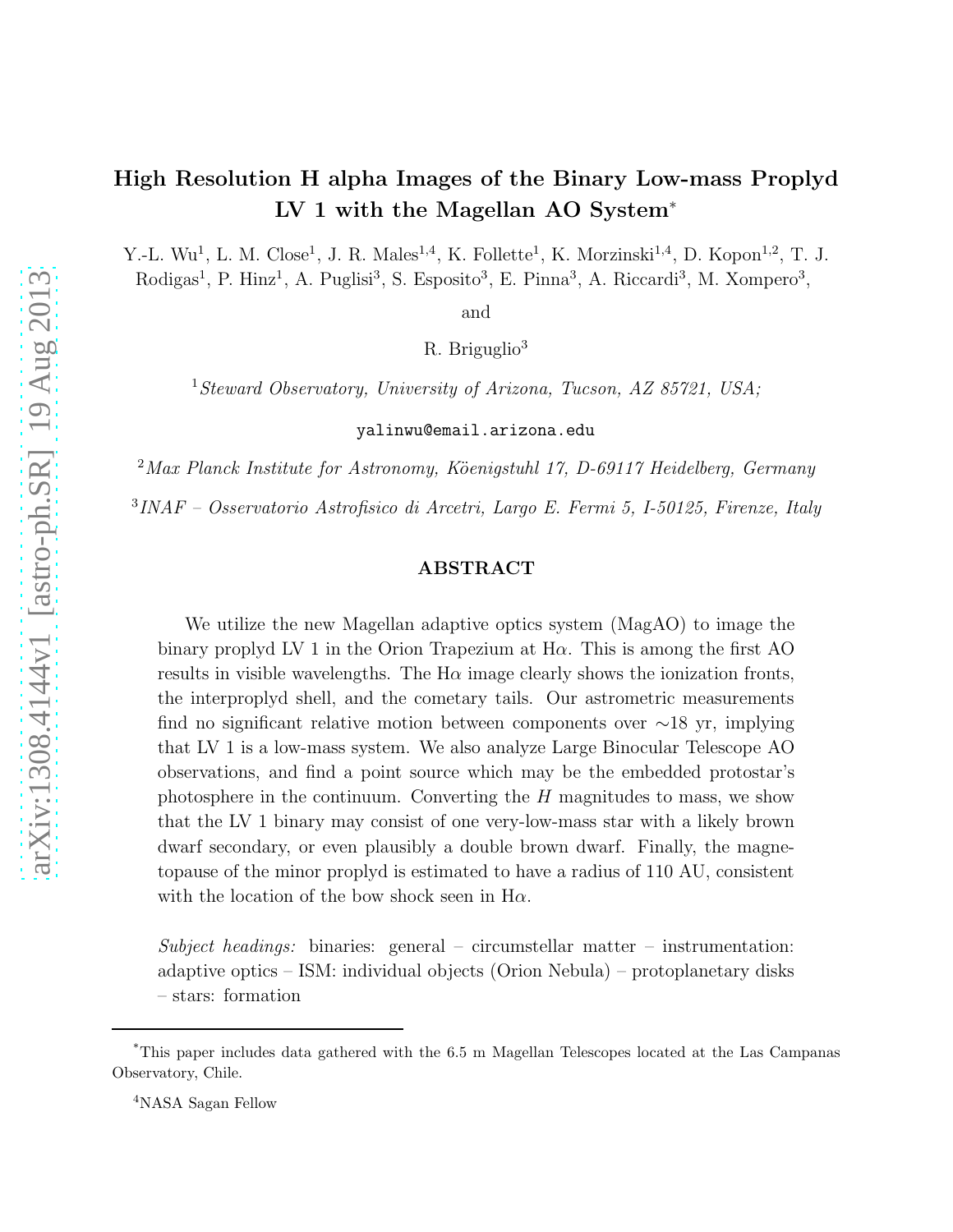# High Resolution H alpha Images of the Binary Low-mass Proplyd LV 1 with the Magellan AO System<sup>∗</sup>

Y.-L. Wu<sup>1</sup>, L. M. Close<sup>1</sup>, J. R. Males<sup>1,4</sup>, K. Follette<sup>1</sup>, K. Morzinski<sup>1,4</sup>, D. Kopon<sup>1,2</sup>, T. J. Rodigas<sup>1</sup>, P. Hinz<sup>1</sup>, A. Puglisi<sup>3</sup>, S. Esposito<sup>3</sup>, E. Pinna<sup>3</sup>, A. Riccardi<sup>3</sup>, M. Xompero<sup>3</sup>,

and

R. Briguglio<sup>3</sup>

<sup>1</sup>*Steward Observatory, University of Arizona, Tucson, AZ 85721, USA;*

yalinwu@email.arizona.edu

<sup>2</sup>Max Planck Institute for Astronomy, Köenigstuhl 17, D-69117 Heidelberg, Germany

3 *INAF – Osservatorio Astrofisico di Arcetri, Largo E. Fermi 5, I-50125, Firenze, Italy*

# ABSTRACT

We utilize the new Magellan adaptive optics system (MagAO) to image the binary proplyd LV 1 in the Orion Trapezium at  $H\alpha$ . This is among the first AO results in visible wavelengths. The  $H\alpha$  image clearly shows the ionization fronts, the interproplyd shell, and the cometary tails. Our astrometric measurements find no significant relative motion between components over ∼18 yr, implying that LV 1 is a low-mass system. We also analyze Large Binocular Telescope AO observations, and find a point source which may be the embedded protostar's photosphere in the continuum. Converting the  $H$  magnitudes to mass, we show that the LV 1 binary may consist of one very-low-mass star with a likely brown dwarf secondary, or even plausibly a double brown dwarf. Finally, the magnetopause of the minor proplyd is estimated to have a radius of 110 AU, consistent with the location of the bow shock seen in  $H\alpha$ .

*Subject headings:* binaries: general – circumstellar matter – instrumentation: adaptive optics – ISM: individual objects (Orion Nebula) – protoplanetary disks – stars: formation

<sup>4</sup>NASA Sagan Fellow

<sup>\*</sup>This paper includes data gathered with the 6.5 m Magellan Telescopes located at the Las Campanas Observatory, Chile.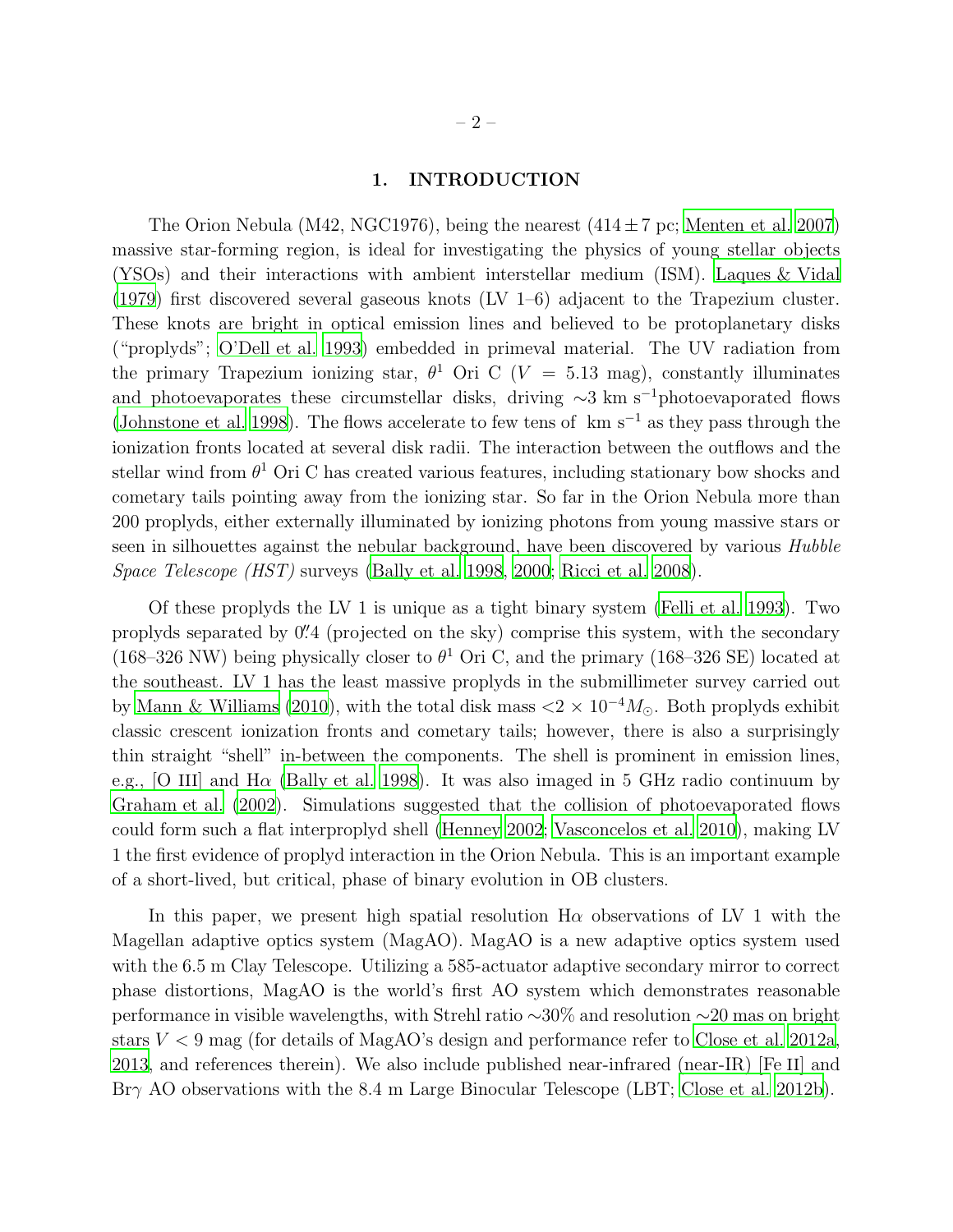### 1. INTRODUCTION

The Orion Nebula (M42, NGC1976), being the nearest  $(414 \pm 7 \,\mathrm{pc})$ ; [Menten et al. 2007\)](#page-8-0) massive star-forming region, is ideal for investigating the physics of young stellar objects (YSOs) and their interactions with ambient interstellar medium (ISM). [Laques & Vidal](#page-8-1) [\(1979\)](#page-8-1) first discovered several gaseous knots (LV 1–6) adjacent to the Trapezium cluster. These knots are bright in optical emission lines and believed to be protoplanetary disks ("proplyds"; [O'Dell et al. 1993](#page-8-2)) embedded in primeval material. The UV radiation from the primary Trapezium ionizing star,  $\theta^1$  Ori C (V = 5.13 mag), constantly illuminates and photoevaporates these circumstellar disks, driving  $\sim$ 3 km s<sup>-1</sup>photoevaporated flows [\(Johnstone et al. 1998\)](#page-8-3). The flows accelerate to few tens of km s<sup>-1</sup> as they pass through the ionization fronts located at several disk radii. The interaction between the outflows and the stellar wind from  $\theta^1$  Ori C has created various features, including stationary bow shocks and cometary tails pointing away from the ionizing star. So far in the Orion Nebula more than 200 proplyds, either externally illuminated by ionizing photons from young massive stars or seen in silhouettes against the nebular background, have been discovered by various *Hubble Space Telescope (HST)* surveys [\(Bally et al. 1998](#page-7-0), [2000;](#page-7-1) [Ricci et al. 2008\)](#page-8-4).

Of these proplyds the LV 1 is unique as a tight binary system [\(Felli et al. 1993\)](#page-7-2). Two proplyds separated by  $0''$ 4 (projected on the sky) comprise this system, with the secondary (168–326 NW) being physically closer to  $\theta^1$  Ori C, and the primary (168–326 SE) located at the southeast. LV 1 has the least massive proplyds in the submillimeter survey carried out by [Mann & Williams \(2010\)](#page-8-5), with the total disk mass  $\langle 2 \times 10^{-4} M_{\odot}$ . Both proplyds exhibit classic crescent ionization fronts and cometary tails; however, there is also a surprisingly thin straight "shell" in-between the components. The shell is prominent in emission lines, e.g., [O III] and  $H\alpha$  [\(Bally et al. 1998\)](#page-7-0). It was also imaged in 5 GHz radio continuum by [Graham et al. \(2002\)](#page-7-3). Simulations suggested that the collision of photoevaporated flows could form such a flat interproplyd shell [\(Henney 2002](#page-7-4); [Vasconcelos et al. 2010\)](#page-8-6), making LV 1 the first evidence of proplyd interaction in the Orion Nebula. This is an important example of a short-lived, but critical, phase of binary evolution in OB clusters.

In this paper, we present high spatial resolution  $H\alpha$  observations of LV 1 with the Magellan adaptive optics system (MagAO). MagAO is a new adaptive optics system used with the 6.5 m Clay Telescope. Utilizing a 585-actuator adaptive secondary mirror to correct phase distortions, MagAO is the world's first AO system which demonstrates reasonable performance in visible wavelengths, with Strehl ratio ∼30% and resolution ∼20 mas on bright stars  $V < 9$  mag (for details of MagAO's design and performance refer to [Close](#page-7-5) et al. [2012a,](#page-7-5) [2013,](#page-7-6) and references therein). We also include published near-infrared (near-IR) [Fe II] and Brγ AO observations with the 8.4 m Large Binocular Telescope (LBT; [Close](#page-7-7) et al. [2012b\)](#page-7-7).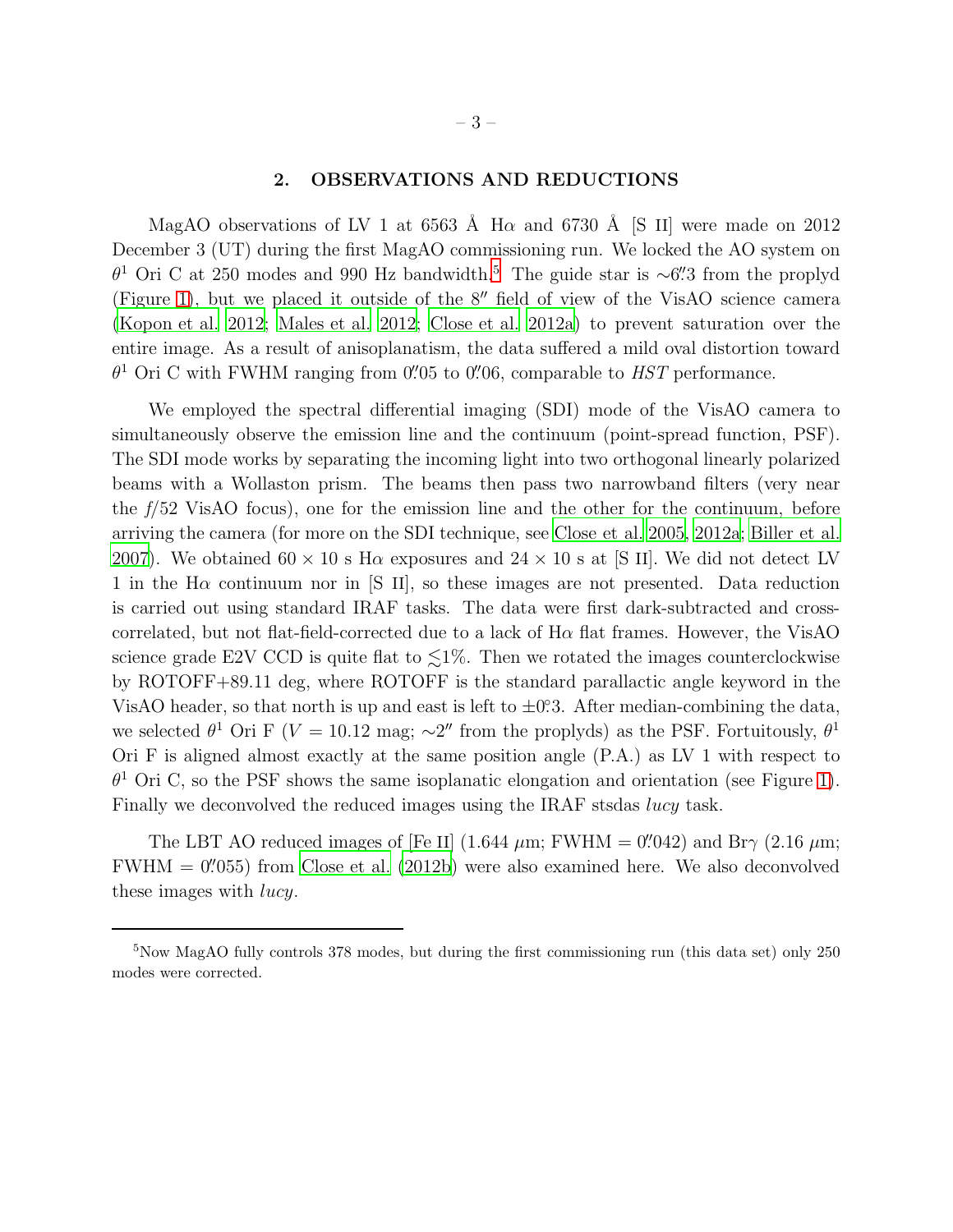# 2. OBSERVATIONS AND REDUCTIONS

MagAO observations of LV 1 at 6563 Å H $\alpha$  and 6730 Å [S II] were made on 2012 December 3 (UT) during the first MagAO commissioning run. We locked the AO system on  $\theta$ <sup>1</sup> Ori C at 2[5](#page-8-7)0 modes and 990 Hz bandwidth.<sup>5</sup> The guide star is ∼6". The proplyd (Figure [1\)](#page-10-0), but we placed it outside of the 8′′ field of view of the VisAO science camera [\(Kopon et al. 2012;](#page-8-8) [Males et al. 2012;](#page-8-9) [Close et al. 2012a\)](#page-7-5) to prevent saturation over the entire image. As a result of anisoplanatism, the data suffered a mild oval distortion toward  $\theta^1$  Ori C with FWHM ranging from 0.05 to 0.05, comparable to *HST* performance.

We employed the spectral differential imaging (SDI) mode of the VisAO camera to simultaneously observe the emission line and the continuum (point-spread function, PSF). The SDI mode works by separating the incoming light into two orthogonal linearly polarized beams with a Wollaston prism. The beams then pass two narrowband filters (very near the *f*/52 VisAO focus), one for the emission line and the other for the continuum, before arriving the camera (for more on the SDI technique, see [Close et al.](#page-7-8) [2005](#page-7-8), [2012a;](#page-7-5) [Biller et al.](#page-7-9) [2007\)](#page-7-9). We obtained  $60 \times 10$  s H $\alpha$  exposures and  $24 \times 10$  s at [S II]. We did not detect LV 1 in the  $H\alpha$  continuum nor in [S II], so these images are not presented. Data reduction is carried out using standard IRAF tasks. The data were first dark-subtracted and crosscorrelated, but not flat-field-corrected due to a lack of  $H\alpha$  flat frames. However, the VisAO science grade E2V CCD is quite flat to  $\leq 1\%$ . Then we rotated the images counterclockwise by ROTOFF+89.11 deg, where ROTOFF is the standard parallactic angle keyword in the VisAO header, so that north is up and east is left to  $\pm$ 0.3. After median-combining the data, we selected  $\theta^1$  Ori F (V = 10.12 mag;  $\sim$ 2'' from the proplyds) as the PSF. Fortuitously,  $\theta^1$ Ori F is aligned almost exactly at the same position angle (P.A.) as LV 1 with respect to  $\theta$ <sup>1</sup> Ori C, so the PSF shows the same isoplanatic elongation and orientation (see Figure [1\)](#page-10-0). Finally we deconvolved the reduced images using the IRAF stsdas lucy task.

The LBT AO reduced images of [Fe II]  $(1.644 \ \mu m; \text{FWHM} = 0''.042)$  and Br $\gamma$   $(2.16 \ \mu m;$  $FWHM = 0''.055$ ) from [Close et al. \(2012b\)](#page-7-7) were also examined here. We also deconvolved these images with lucy.

 $5$ Now MagAO fully controls 378 modes, but during the first commissioning run (this data set) only 250 modes were corrected.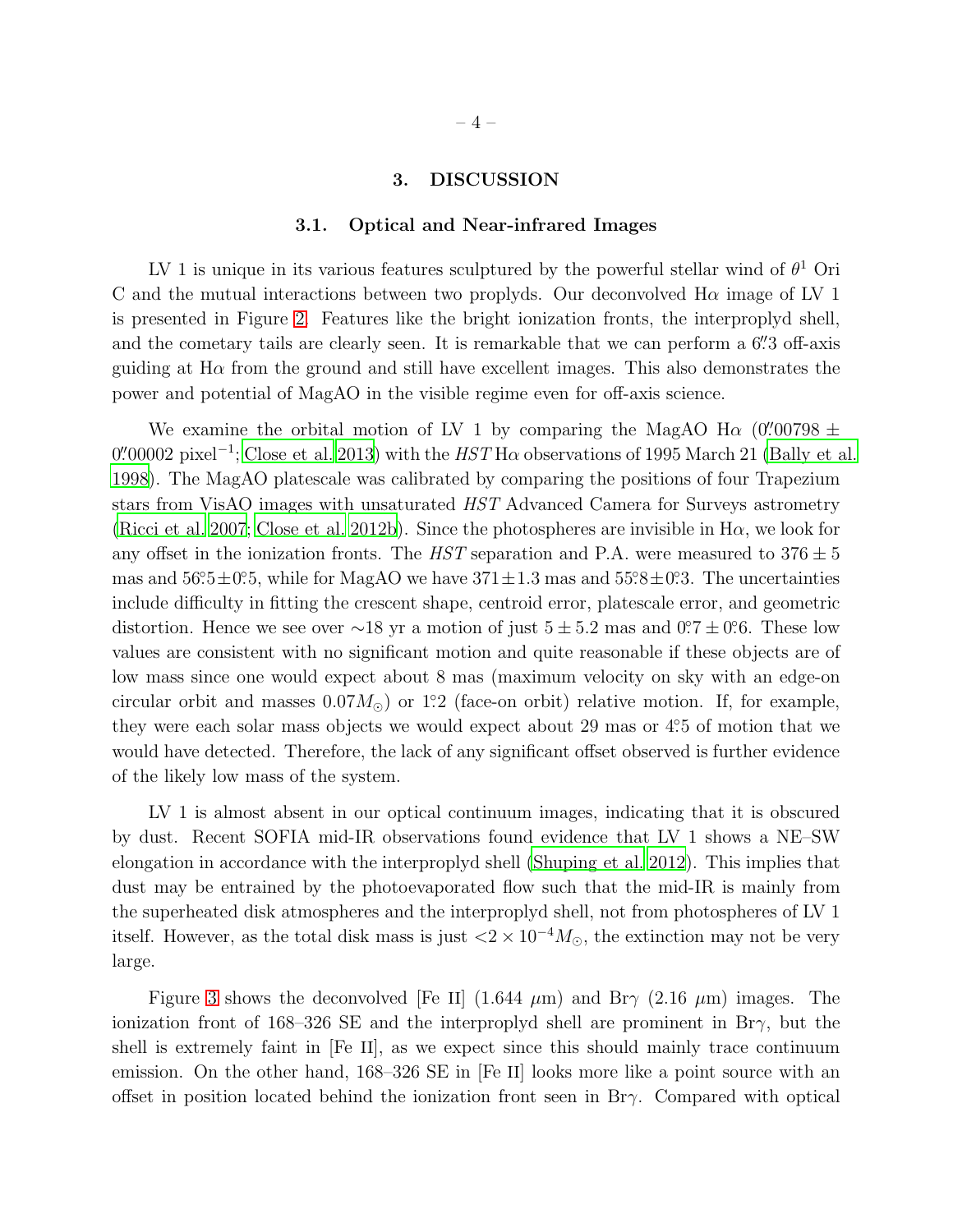# 3. DISCUSSION

#### 3.1. Optical and Near-infrared Images

LV 1 is unique in its various features sculptured by the powerful stellar wind of  $\theta^1$  Ori C and the mutual interactions between two proplyds. Our deconvolved  $H\alpha$  image of LV 1 is presented in Figure [2.](#page-11-0) Features like the bright ionization fronts, the interproplyd shell, and the cometary tails are clearly seen. It is remarkable that we can perform a 6". 3 off-axis guiding at  $H\alpha$  from the ground and still have excellent images. This also demonstrates the power and potential of MagAO in the visible regime even for off-axis science.

We examine the orbital motion of LV 1 by comparing the MagAO H $\alpha$  (0''00798  $\pm$  $0\rlap{.}^{\prime\prime}00002$  pixel<sup>-1</sup>; [Close et al. 2013](#page-7-6)) with the  $HST$  H $\alpha$  observations of 1995 March 21 [\(Bally et al.](#page-7-0) [1998\)](#page-7-0). The MagAO platescale was calibrated by comparing the positions of four Trapezium stars from VisAO images with unsaturated *HST* Advanced Camera for Surveys astrometry [\(Ricci et al. 2007;](#page-8-10) [Close et al. 2012b\)](#page-7-7). Since the photospheres are invisible in  $H\alpha$ , we look for any offset in the ionization fronts. The *HST* separation and P.A. were measured to  $376 \pm 5$ mas and  $56^\circ\cdot 5 \pm 0^\circ\cdot 5$ , while for MagAO we have  $371 \pm 1.3$  mas and  $55^\circ\cdot 8 \pm 0^\circ\cdot 3$ . The uncertainties include difficulty in fitting the crescent shape, centroid error, platescale error, and geometric distortion. Hence we see over ∼18 yr a motion of just  $5 \pm 5.2$  mas and  $0.7 \pm 0.6$ . These low values are consistent with no significant motion and quite reasonable if these objects are of low mass since one would expect about 8 mas (maximum velocity on sky with an edge-on circular orbit and masses  $0.07M_{\odot}$  or 1.2 (face-on orbit) relative motion. If, for example, they were each solar mass objects we would expect about 29 mas or 4.5 of motion that we would have detected. Therefore, the lack of any significant offset observed is further evidence of the likely low mass of the system.

LV 1 is almost absent in our optical continuum images, indicating that it is obscured by dust. Recent SOFIA mid-IR observations found evidence that LV 1 shows a NE–SW elongation in accordance with the interproplyd shell [\(Shuping et al. 2012\)](#page-8-11). This implies that dust may be entrained by the photoevaporated flow such that the mid-IR is mainly from the superheated disk atmospheres and the interproplyd shell, not from photospheres of LV 1 itself. However, as the total disk mass is just  $\langle 2 \times 10^{-4} M_{\odot}$ , the extinction may not be very large.

Figure [3](#page-11-1) shows the deconvolved [Fe II]  $(1.644 \mu m)$  and Br $\gamma$   $(2.16 \mu m)$  images. The ionization front of 168–326 SE and the interproplyd shell are prominent in Br $\gamma$ , but the shell is extremely faint in [Fe II], as we expect since this should mainly trace continuum emission. On the other hand, 168–326 SE in [Fe II] looks more like a point source with an offset in position located behind the ionization front seen in  $Br\gamma$ . Compared with optical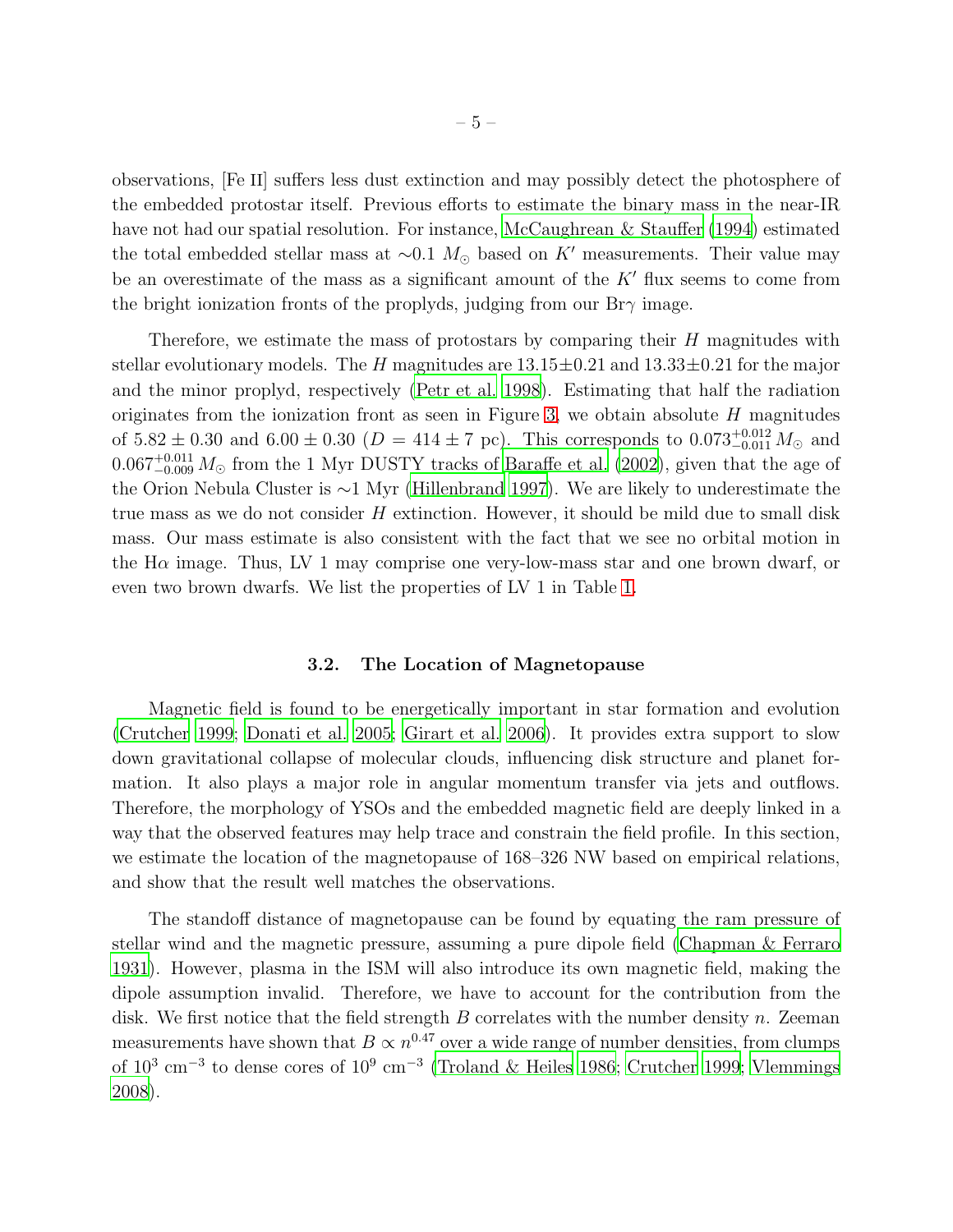observations, [Fe II] suffers less dust extinction and may possibly detect the photosphere of the embedded protostar itself. Previous efforts to estimate the binary mass in the near-IR have not had our spatial resolution. For instance, [McCaughrean &](#page-8-12) Stauffer [\(1994\)](#page-8-12) estimated the total embedded stellar mass at  $\sim 0.1$  M<sub>☉</sub> based on K' measurements. Their value may be an overestimate of the mass as a significant amount of the  $K'$  flux seems to come from the bright ionization fronts of the proplyds, judging from our  $\text{Br}\gamma$  image.

Therefore, we estimate the mass of protostars by comparing their  $H$  magnitudes with stellar evolutionary models. The H magnitudes are  $13.15\pm0.21$  and  $13.33\pm0.21$  for the major and the minor proplyd, respectively [\(Petr et al. 1998](#page-8-13)). Estimating that half the radiation originates from the ionization front as seen in Figure [3,](#page-11-1) we obtain absolute  $H$  magnitudes of  $5.82 \pm 0.30$  and  $6.00 \pm 0.30$  ( $D = 414 \pm 7$  pc). This corresponds to  $0.073^{+0.012}_{-0.011} M_{\odot}$  and  $0.067^{+0.011}_{-0.009} M_{\odot}$  from the 1 Myr DUSTY tracks of [Baraffe et al. \(2002\)](#page-7-10), given that the age of the Orion Nebula Cluster is ∼1 Myr [\(Hillenbrand 1997\)](#page-7-11). We are likely to underestimate the true mass as we do not consider  $H$  extinction. However, it should be mild due to small disk mass. Our mass estimate is also consistent with the fact that we see no orbital motion in the  $H\alpha$  image. Thus, LV 1 may comprise one very-low-mass star and one brown dwarf, or even two brown dwarfs. We list the properties of LV 1 in Table [1.](#page-9-0)

## 3.2. The Location of Magnetopause

Magnetic field is found to be energetically important in star formation and evolution [\(Crutcher 1999](#page-7-12); [Donati et al. 2005;](#page-7-13) [Girart et al. 2006\)](#page-7-14). It provides extra support to slow down gravitational collapse of molecular clouds, influencing disk structure and planet formation. It also plays a major role in angular momentum transfer via jets and outflows. Therefore, the morphology of YSOs and the embedded magnetic field are deeply linked in a way that the observed features may help trace and constrain the field profile. In this section, we estimate the location of the magnetopause of 168–326 NW based on empirical relations, and show that the result well matches the observations.

The standoff distance of magnetopause can be found by equating the ram pressure of stellar wind and the magnetic pressure, assuming a pure dipole field [\(Chapman & Ferraro](#page-7-15) [1931\)](#page-7-15). However, plasma in the ISM will also introduce its own magnetic field, making the dipole assumption invalid. Therefore, we have to account for the contribution from the disk. We first notice that the field strength  $B$  correlates with the number density  $n$ . Zeeman measurements have shown that  $B \propto n^{0.47}$  over a wide range of number densities, from clumps of  $10^3 \text{ cm}^{-3}$  to dense cores of  $10^9 \text{ cm}^{-3}$  [\(Troland & Heiles 1986;](#page-8-14) [Crutcher 1999;](#page-7-12) [Vlemmings](#page-8-15) [2008\)](#page-8-15).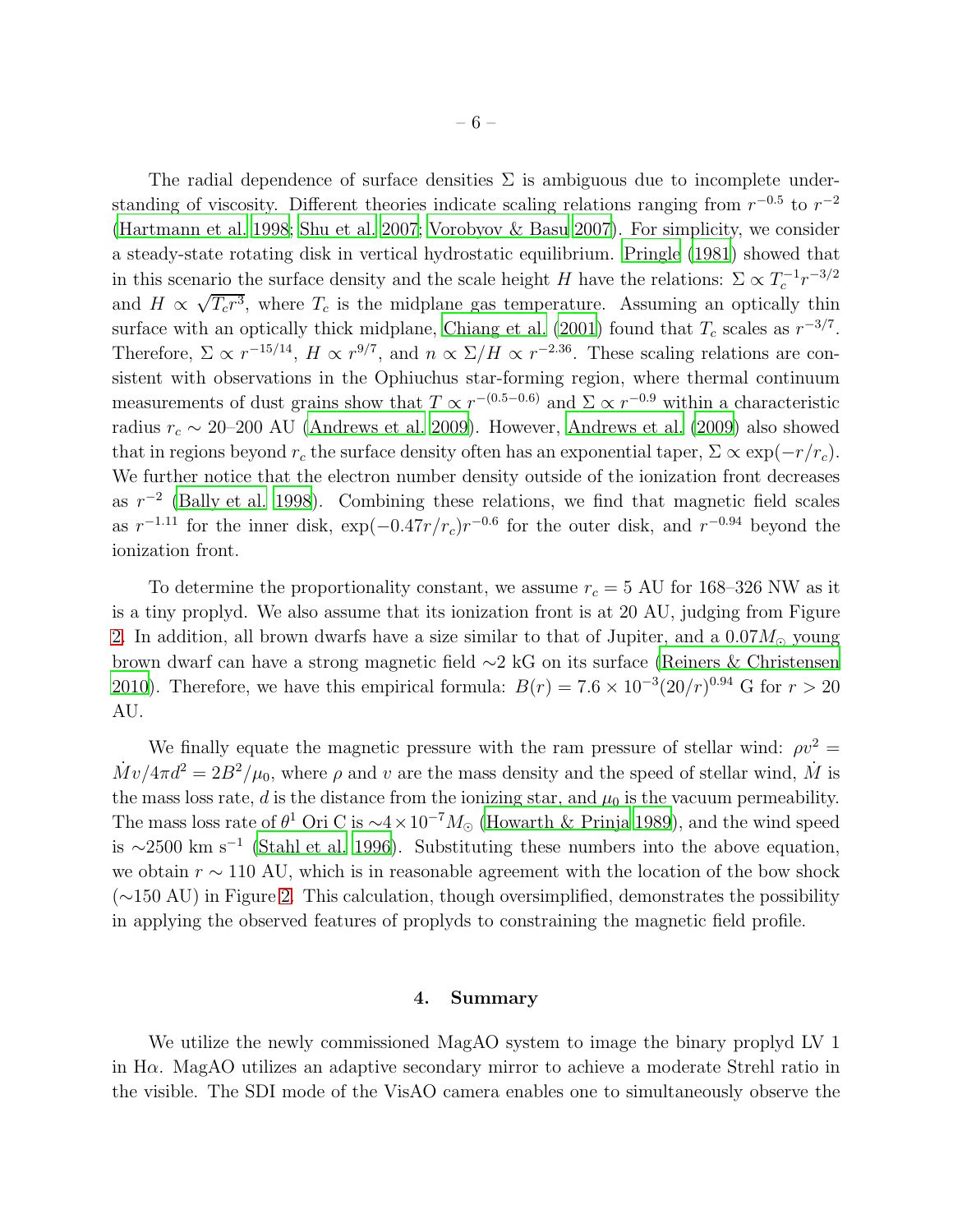The radial dependence of surface densities  $\Sigma$  is ambiguous due to incomplete understanding of viscosity. Different theories indicate scaling relations ranging from  $r^{-0.5}$  to  $r^{-2}$ [\(Hartmann et al. 1998;](#page-7-16) [Shu et al. 2007;](#page-8-16) [Vorobyov & Basu 2007\)](#page-8-17). For simplicity, we consider a steady-state rotating disk in vertical hydrostatic equilibrium. [Pringle \(1981\)](#page-8-18) showed that in this scenario the surface density and the scale height H have the relations:  $\Sigma \propto T_c^{-1} r^{-3/2}$ and  $H \propto \sqrt{T_c r^3}$ , where  $T_c$  is the midplane gas temperature. Assuming an optically thin surface with an optically thick midplane, [Chiang et al. \(2001](#page-7-17)) found that  $T_c$  scales as  $r^{-3/7}$ . Therefore,  $\Sigma \propto r^{-15/14}$ ,  $H \propto r^{9/7}$ , and  $n \propto \Sigma/H \propto r^{-2.36}$ . These scaling relations are consistent with observations in the Ophiuchus star-forming region, where thermal continuum measurements of dust grains show that  $T \propto r^{-(0.5-0.6)}$  and  $\Sigma \propto r^{-0.9}$  within a characteristic radius  $r_c \sim 20$ –200 AU [\(Andrews et al. 2009\)](#page-7-18). However, [Andrews et al. \(2009](#page-7-18)) also showed that in regions beyond  $r_c$  the surface density often has an exponential taper,  $\Sigma \propto \exp(-r/r_c)$ . We further notice that the electron number density outside of the ionization front decreases as  $r^{-2}$  [\(Bally et al. 1998](#page-7-0)). Combining these relations, we find that magnetic field scales as  $r^{-1.11}$  for the inner disk,  $\exp(-0.47r/r_c)r^{-0.6}$  for the outer disk, and  $r^{-0.94}$  beyond the ionization front.

To determine the proportionality constant, we assume  $r_c = 5$  AU for 168–326 NW as it is a tiny proplyd. We also assume that its ionization front is at 20 AU, judging from Figure [2.](#page-11-0) In addition, all brown dwarfs have a size similar to that of Jupiter, and a  $0.07M_{\odot}$  young brown dwarf can have a strong magnetic field ∼2 kG on its surface [\(Reiners & Christensen](#page-8-19) [2010\)](#page-8-19). Therefore, we have this empirical formula:  $B(r) = 7.6 \times 10^{-3} (20/r)^{0.94}$  G for  $r > 20$ AU.

We finally equate the magnetic pressure with the ram pressure of stellar wind:  $\rho v^2 =$  $\dot{M}v/4\pi d^2 = 2B^2/\mu_0$ , where  $\rho$  and v are the mass density and the speed of stellar wind,  $\dot{M}$  is the mass loss rate, d is the distance from the ionizing star, and  $\mu_0$  is the vacuum permeability. The mass loss rate of  $\theta^1$  Ori C is  $\sim$ 4 × 10<sup>-7</sup> $M_{\odot}$  [\(Howarth & Prinja 1989\)](#page-7-19), and the wind speed is  $\sim$ 2500 km s<sup>-1</sup> [\(Stahl et al. 1996](#page-8-20)). Substituting these numbers into the above equation, we obtain  $r \sim 110$  AU, which is in reasonable agreement with the location of the bow shock (∼150 AU) in Figure [2.](#page-11-0) This calculation, though oversimplified, demonstrates the possibility in applying the observed features of proplyds to constraining the magnetic field profile.

#### 4. Summary

We utilize the newly commissioned MagAO system to image the binary proplyd LV 1 in H $\alpha$ . MagAO utilizes an adaptive secondary mirror to achieve a moderate Strehl ratio in the visible. The SDI mode of the VisAO camera enables one to simultaneously observe the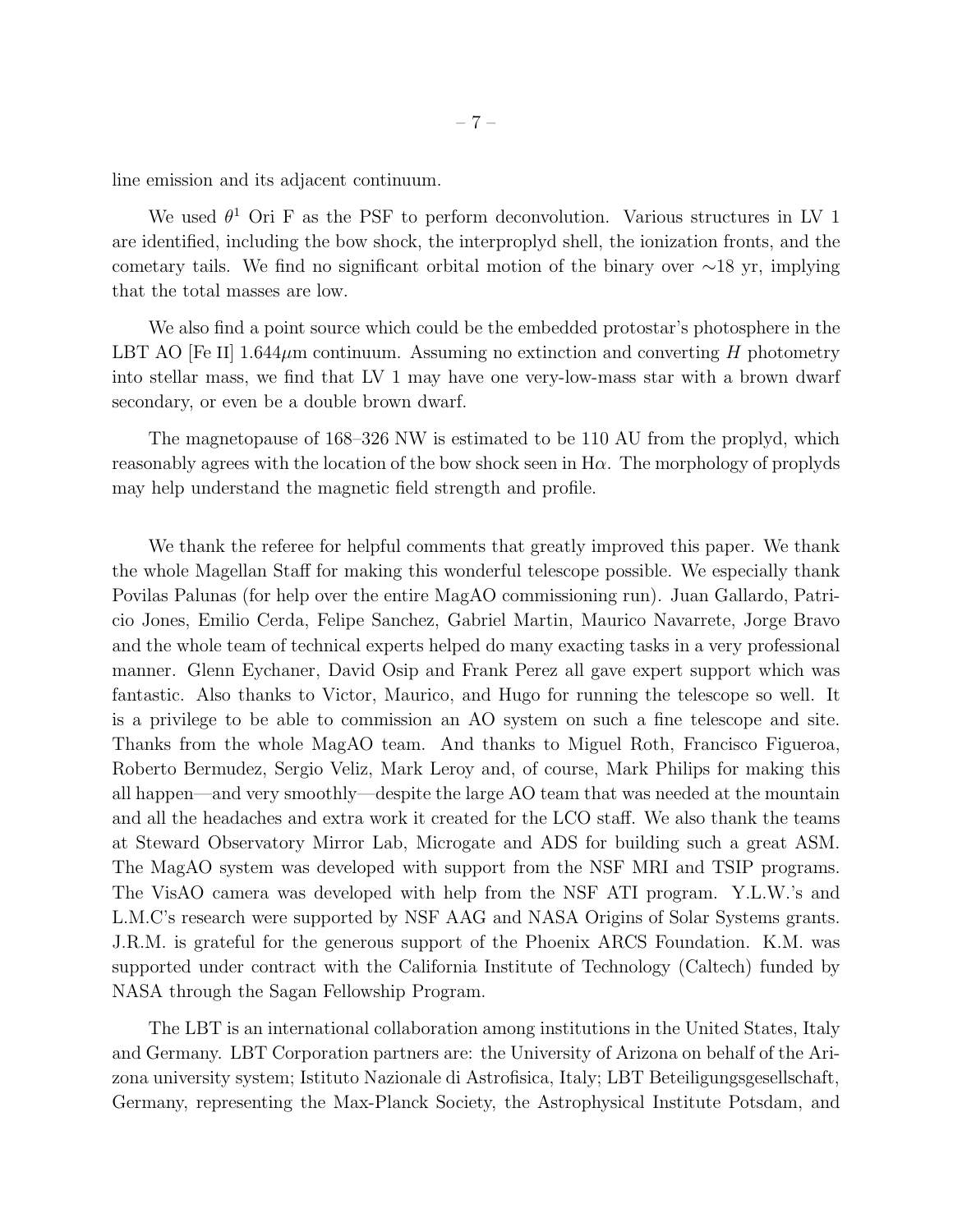line emission and its adjacent continuum.

We used  $\theta^1$  Ori F as the PSF to perform deconvolution. Various structures in LV 1 are identified, including the bow shock, the interproplyd shell, the ionization fronts, and the cometary tails. We find no significant orbital motion of the binary over  $\sim$ 18 yr, implying that the total masses are low.

We also find a point source which could be the embedded protostar's photosphere in the LBT AO [Fe II]  $1.644\mu$ m continuum. Assuming no extinction and converting H photometry into stellar mass, we find that LV 1 may have one very-low-mass star with a brown dwarf secondary, or even be a double brown dwarf.

The magnetopause of 168–326 NW is estimated to be 110 AU from the proplyd, which reasonably agrees with the location of the bow shock seen in  $H\alpha$ . The morphology of proplyds may help understand the magnetic field strength and profile.

We thank the referee for helpful comments that greatly improved this paper. We thank the whole Magellan Staff for making this wonderful telescope possible. We especially thank Povilas Palunas (for help over the entire MagAO commissioning run). Juan Gallardo, Patricio Jones, Emilio Cerda, Felipe Sanchez, Gabriel Martin, Maurico Navarrete, Jorge Bravo and the whole team of technical experts helped do many exacting tasks in a very professional manner. Glenn Eychaner, David Osip and Frank Perez all gave expert support which was fantastic. Also thanks to Victor, Maurico, and Hugo for running the telescope so well. It is a privilege to be able to commission an AO system on such a fine telescope and site. Thanks from the whole MagAO team. And thanks to Miguel Roth, Francisco Figueroa, Roberto Bermudez, Sergio Veliz, Mark Leroy and, of course, Mark Philips for making this all happen—and very smoothly—despite the large AO team that was needed at the mountain and all the headaches and extra work it created for the LCO staff. We also thank the teams at Steward Observatory Mirror Lab, Microgate and ADS for building such a great ASM. The MagAO system was developed with support from the NSF MRI and TSIP programs. The VisAO camera was developed with help from the NSF ATI program. Y.L.W.'s and L.M.C's research were supported by NSF AAG and NASA Origins of Solar Systems grants. J.R.M. is grateful for the generous support of the Phoenix ARCS Foundation. K.M. was supported under contract with the California Institute of Technology (Caltech) funded by NASA through the Sagan Fellowship Program.

The LBT is an international collaboration among institutions in the United States, Italy and Germany. LBT Corporation partners are: the University of Arizona on behalf of the Arizona university system; Istituto Nazionale di Astrofisica, Italy; LBT Beteiligungsgesellschaft, Germany, representing the Max-Planck Society, the Astrophysical Institute Potsdam, and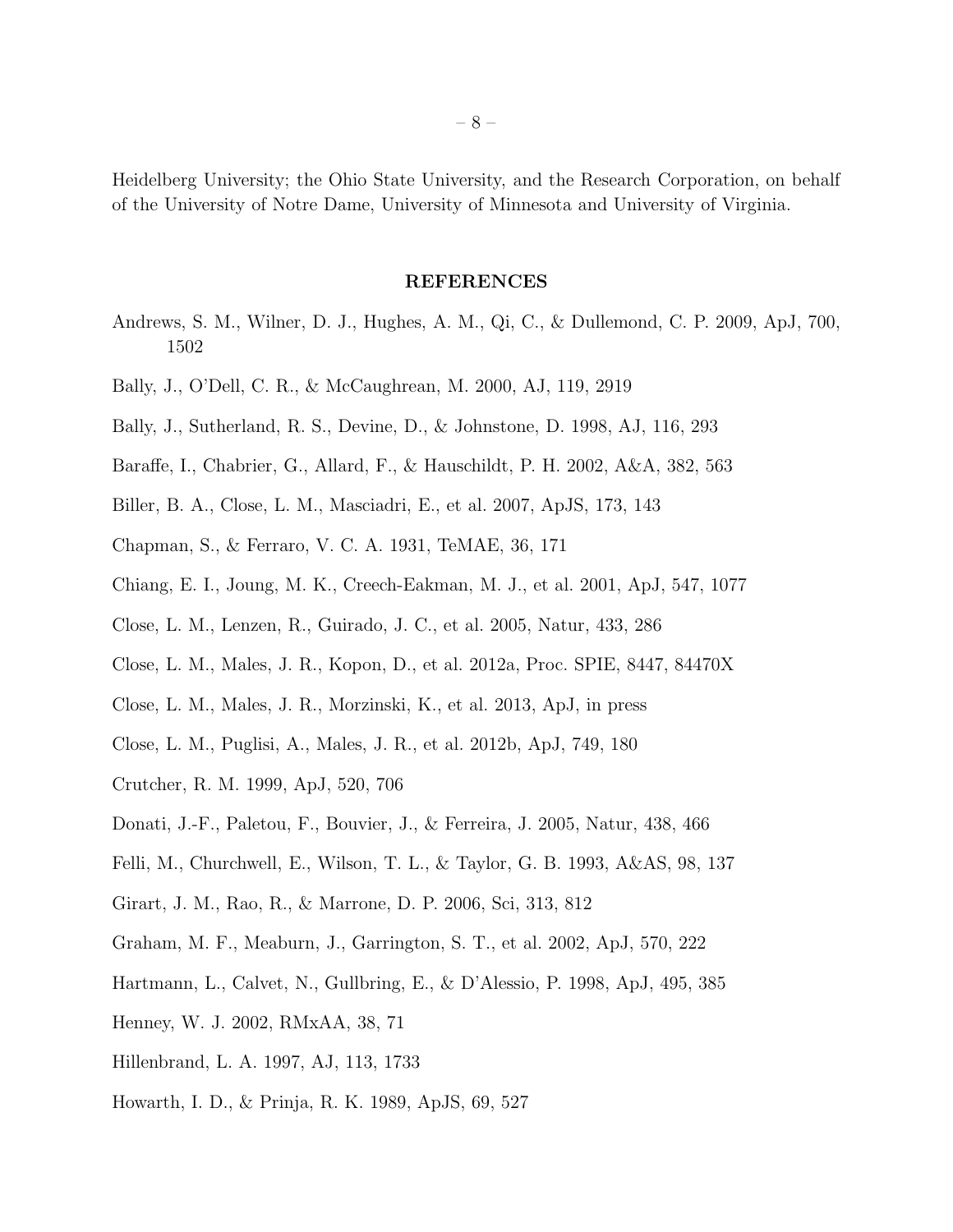Heidelberg University; the Ohio State University, and the Research Corporation, on behalf of the University of Notre Dame, University of Minnesota and University of Virginia.

#### REFERENCES

- <span id="page-7-18"></span>Andrews, S. M., Wilner, D. J., Hughes, A. M., Qi, C., & Dullemond, C. P. 2009, ApJ, 700, 1502
- <span id="page-7-1"></span>Bally, J., O'Dell, C. R., & McCaughrean, M. 2000, AJ, 119, 2919
- <span id="page-7-0"></span>Bally, J., Sutherland, R. S., Devine, D., & Johnstone, D. 1998, AJ, 116, 293
- <span id="page-7-10"></span>Baraffe, I., Chabrier, G., Allard, F., & Hauschildt, P. H. 2002, A&A, 382, 563
- <span id="page-7-9"></span>Biller, B. A., Close, L. M., Masciadri, E., et al. 2007, ApJS, 173, 143
- <span id="page-7-15"></span>Chapman, S., & Ferraro, V. C. A. 1931, TeMAE, 36, 171
- <span id="page-7-17"></span>Chiang, E. I., Joung, M. K., Creech-Eakman, M. J., et al. 2001, ApJ, 547, 1077
- <span id="page-7-8"></span>Close, L. M., Lenzen, R., Guirado, J. C., et al. 2005, Natur, 433, 286
- <span id="page-7-5"></span>Close, L. M., Males, J. R., Kopon, D., et al. 2012a, Proc. SPIE, 8447, 84470X
- <span id="page-7-6"></span>Close, L. M., Males, J. R., Morzinski, K., et al. 2013, ApJ, in press
- <span id="page-7-7"></span>Close, L. M., Puglisi, A., Males, J. R., et al. 2012b, ApJ, 749, 180
- <span id="page-7-12"></span>Crutcher, R. M. 1999, ApJ, 520, 706
- <span id="page-7-13"></span>Donati, J.-F., Paletou, F., Bouvier, J., & Ferreira, J. 2005, Natur, 438, 466
- <span id="page-7-2"></span>Felli, M., Churchwell, E., Wilson, T. L., & Taylor, G. B. 1993, A&AS, 98, 137
- <span id="page-7-14"></span>Girart, J. M., Rao, R., & Marrone, D. P. 2006, Sci, 313, 812
- <span id="page-7-3"></span>Graham, M. F., Meaburn, J., Garrington, S. T., et al. 2002, ApJ, 570, 222
- <span id="page-7-16"></span>Hartmann, L., Calvet, N., Gullbring, E., & D'Alessio, P. 1998, ApJ, 495, 385
- <span id="page-7-4"></span>Henney, W. J. 2002, RMxAA, 38, 71
- <span id="page-7-11"></span>Hillenbrand, L. A. 1997, AJ, 113, 1733
- <span id="page-7-19"></span>Howarth, I. D., & Prinja, R. K. 1989, ApJS, 69, 527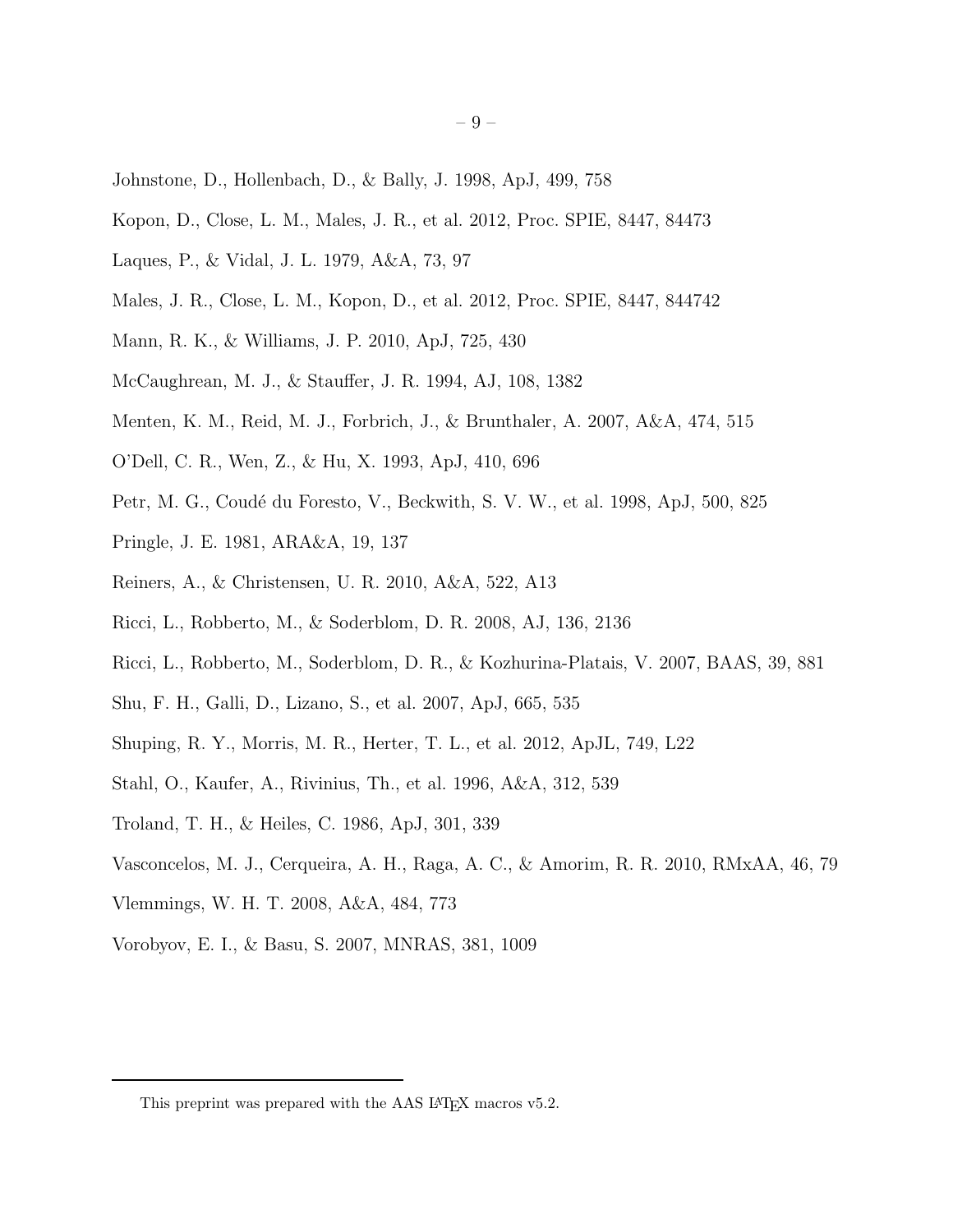- <span id="page-8-3"></span>Johnstone, D., Hollenbach, D., & Bally, J. 1998, ApJ, 499, 758
- <span id="page-8-8"></span>Kopon, D., Close, L. M., Males, J. R., et al. 2012, Proc. SPIE, 8447, 84473
- <span id="page-8-1"></span>Laques, P., & Vidal, J. L. 1979, A&A, 73, 97
- <span id="page-8-9"></span>Males, J. R., Close, L. M., Kopon, D., et al. 2012, Proc. SPIE, 8447, 844742
- <span id="page-8-5"></span>Mann, R. K., & Williams, J. P. 2010, ApJ, 725, 430
- <span id="page-8-12"></span>McCaughrean, M. J., & Stauffer, J. R. 1994, AJ, 108, 1382
- <span id="page-8-0"></span>Menten, K. M., Reid, M. J., Forbrich, J., & Brunthaler, A. 2007, A&A, 474, 515
- <span id="page-8-2"></span>O'Dell, C. R., Wen, Z., & Hu, X. 1993, ApJ, 410, 696
- <span id="page-8-13"></span>Petr, M. G., Coudé du Foresto, V., Beckwith, S. V. W., et al. 1998, ApJ, 500, 825
- <span id="page-8-18"></span>Pringle, J. E. 1981, ARA&A, 19, 137
- <span id="page-8-19"></span>Reiners, A., & Christensen, U. R. 2010, A&A, 522, A13
- <span id="page-8-4"></span>Ricci, L., Robberto, M., & Soderblom, D. R. 2008, AJ, 136, 2136
- <span id="page-8-10"></span>Ricci, L., Robberto, M., Soderblom, D. R., & Kozhurina-Platais, V. 2007, BAAS, 39, 881
- <span id="page-8-16"></span>Shu, F. H., Galli, D., Lizano, S., et al. 2007, ApJ, 665, 535
- <span id="page-8-11"></span>Shuping, R. Y., Morris, M. R., Herter, T. L., et al. 2012, ApJL, 749, L22
- <span id="page-8-20"></span>Stahl, O., Kaufer, A., Rivinius, Th., et al. 1996, A&A, 312, 539
- <span id="page-8-14"></span>Troland, T. H., & Heiles, C. 1986, ApJ, 301, 339
- <span id="page-8-6"></span>Vasconcelos, M. J., Cerqueira, A. H., Raga, A. C., & Amorim, R. R. 2010, RMxAA, 46, 79
- <span id="page-8-15"></span>Vlemmings, W. H. T. 2008, A&A, 484, 773
- <span id="page-8-17"></span>Vorobyov, E. I., & Basu, S. 2007, MNRAS, 381, 1009

<span id="page-8-7"></span>This preprint was prepared with the AAS IATEX macros v5.2.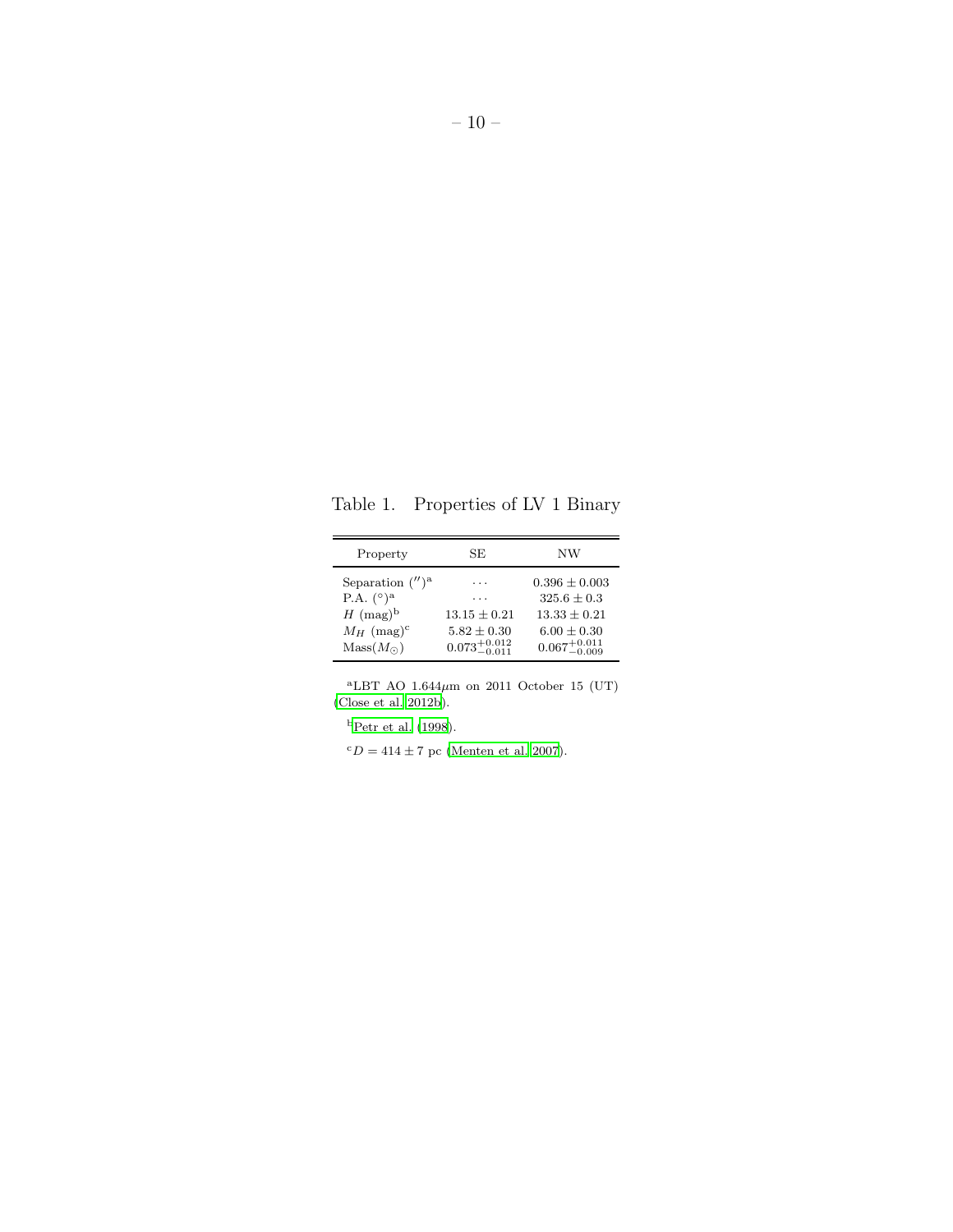Table 1. Properties of LV 1 Binary

<span id="page-9-0"></span>

| Property                                                                                                                              | SE.                                                               | NW                                                                                                 |
|---------------------------------------------------------------------------------------------------------------------------------------|-------------------------------------------------------------------|----------------------------------------------------------------------------------------------------|
| Separation $($ <i>''</i> $)^a$<br>P.A. $({}^{\circ})^{\rm a}$<br>$H \text{ (mag)}^b$<br>$M_H$ (mag) <sup>c</sup><br>$Mass(M_{\odot})$ | .<br>$13.15 + 0.21$<br>$5.82 + 0.30$<br>$0.073^{+0.012}_{-0.011}$ | $0.396 \pm 0.003$<br>$325.6 + 0.3$<br>$13.33 + 0.21$<br>$6.00 + 0.30$<br>$0.067^{+0.011}_{-0.009}$ |

<sup>a</sup>LBT AO 1.644 $\mu$ m on 2011 October 15 (UT) [\(Close et al. 2012b](#page-7-7)).

 $^{\rm b}$  [Petr et al. \(1998\)](#page-8-13).

 ${}^cD = 414 \pm 7$  pc [\(Menten et al. 2007](#page-8-0)).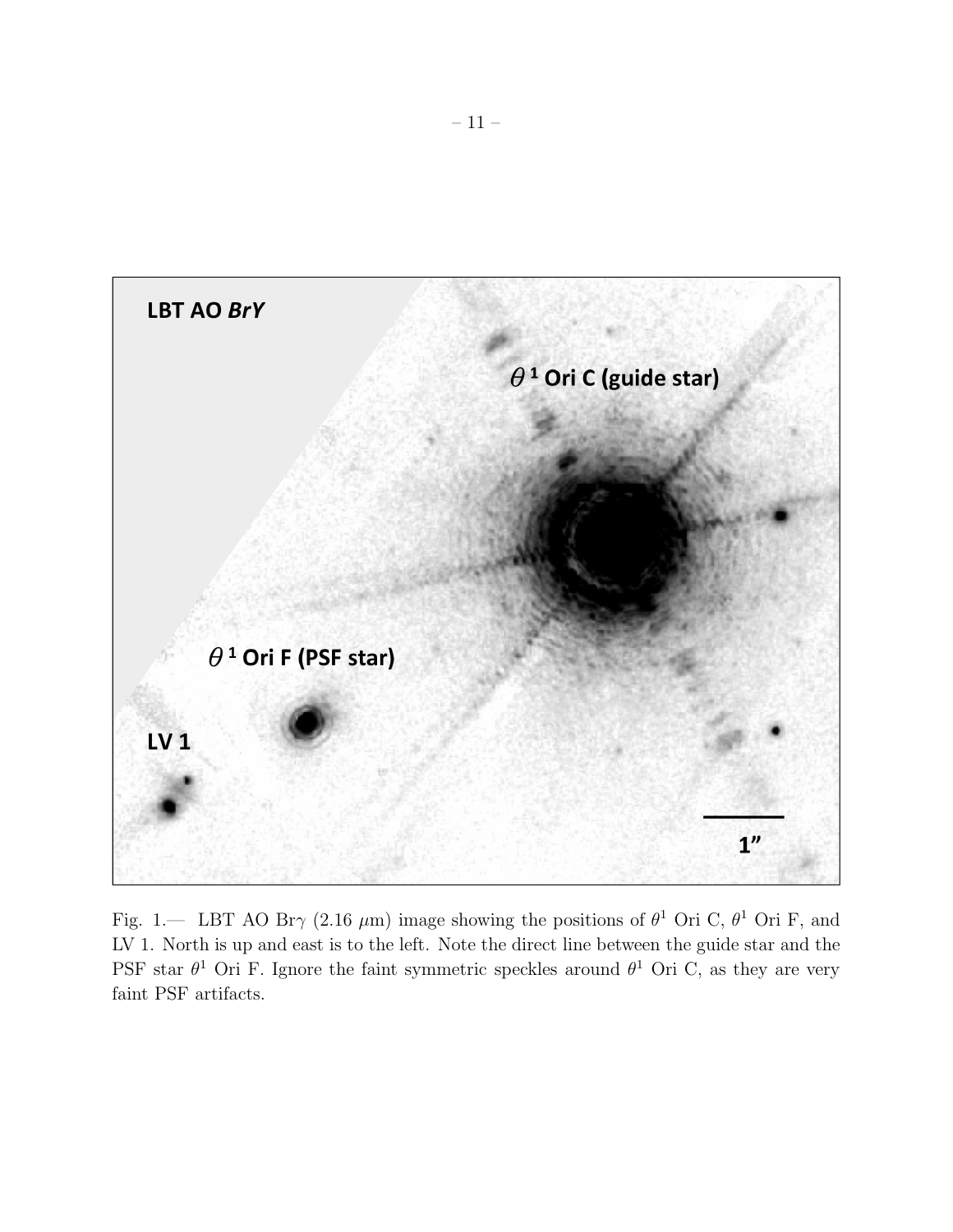

<span id="page-10-0"></span>Fig. 1.— LBT AO Br $\gamma$  (2.16  $\mu$ m) image showing the positions of  $\theta$ <sup>1</sup> Ori C,  $\theta$ <sup>1</sup> Ori F, and LV 1. North is up and east is to the left. Note the direct line between the guide star and the PSF star  $\theta^1$  Ori F. Ignore the faint symmetric speckles around  $\theta^1$  Ori C, as they are very faint PSF artifacts.